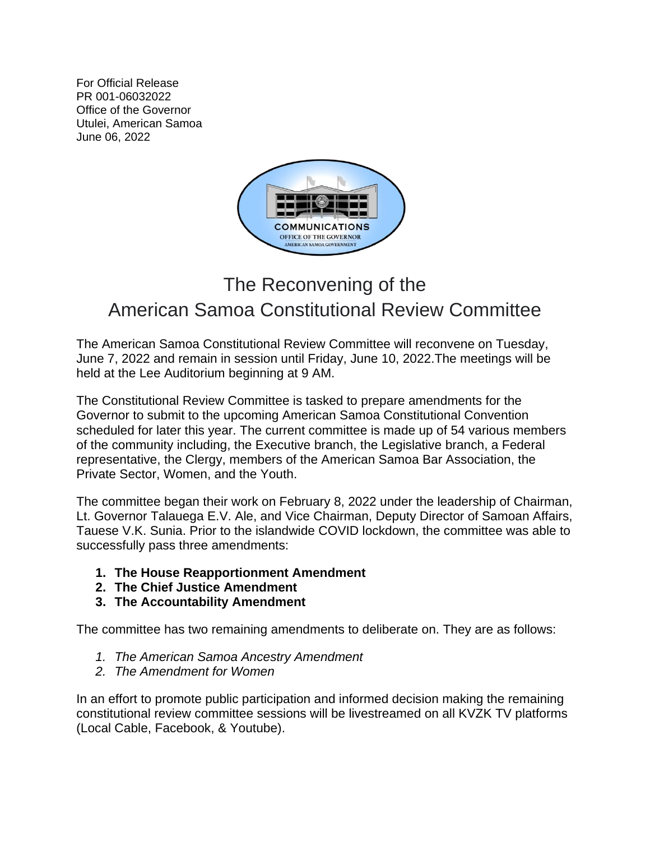For Official Release PR 001-06032022 Office of the Governor Utulei, American Samoa June 06, 2022



## The Reconvening of the American Samoa Constitutional Review Committee

The American Samoa Constitutional Review Committee will reconvene on Tuesday, June 7, 2022 and remain in session until Friday, June 10, 2022.The meetings will be held at the Lee Auditorium beginning at 9 AM.

The Constitutional Review Committee is tasked to prepare amendments for the Governor to submit to the upcoming American Samoa Constitutional Convention scheduled for later this year. The current committee is made up of 54 various members of the community including, the Executive branch, the Legislative branch, a Federal representative, the Clergy, members of the American Samoa Bar Association, the Private Sector, Women, and the Youth.

The committee began their work on February 8, 2022 under the leadership of Chairman, Lt. Governor Talauega E.V. Ale, and Vice Chairman, Deputy Director of Samoan Affairs, Tauese V.K. Sunia. Prior to the islandwide COVID lockdown, the committee was able to successfully pass three amendments:

- **1. The House Reapportionment Amendment**
- **2. The Chief Justice Amendment**
- **3. The Accountability Amendment**

The committee has two remaining amendments to deliberate on. They are as follows:

- *1. The American Samoa Ancestry Amendment*
- *2. The Amendment for Women*

In an effort to promote public participation and informed decision making the remaining constitutional review committee sessions will be livestreamed on all KVZK TV platforms (Local Cable, Facebook, & Youtube).